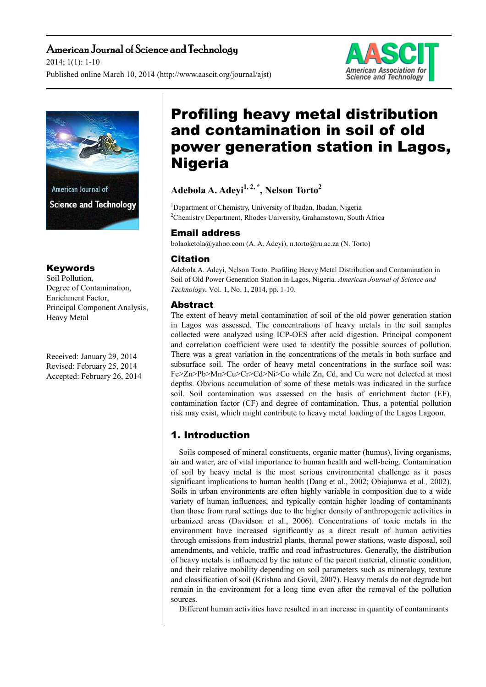## American Journal of Science and Technology

2014; 1(1): 1-10 Published online March 10, 2014 (http://www.aascit.org/journal/ajst)





## Keywords

Soil Pollution, Degree of Contamination, Enrichment Factor, Principal Component Analysis, Heavy Metal

Received: January 29, 2014 Revised: February 25, 2014 Accepted: February 26, 2014

# Profiling heavy metal distribution and contamination in soil of old power generation station in Lagos, Nigeria

**Adebola A. Adeyi1, 2, \*, Nelson Torto<sup>2</sup>**

<sup>1</sup>Department of Chemistry, University of Ibadan, Ibadan, Nigeria <sup>2</sup>Chemistry Department, Rhodes University, Grahamstown, South Africa

## Email address

bolaoketola@yahoo.com (A. A. Adeyi), n.torto@ru.ac.za (N. Torto)

## **Citation**

Adebola A. Adeyi, Nelson Torto. Profiling Heavy Metal Distribution and Contamination in Soil of Old Power Generation Station in Lagos, Nigeria. *American Journal of Science and Technology.* Vol. 1, No. 1, 2014, pp. 1-10.

## Abstract

The extent of heavy metal contamination of soil of the old power generation station in Lagos was assessed. The concentrations of heavy metals in the soil samples collected were analyzed using ICP-OES after acid digestion. Principal component and correlation coefficient were used to identify the possible sources of pollution. There was a great variation in the concentrations of the metals in both surface and subsurface soil. The order of heavy metal concentrations in the surface soil was: Fe>Zn>Pb>Mn>Cu>Cr>Cd>Ni>Co while Zn, Cd, and Cu were not detected at most depths. Obvious accumulation of some of these metals was indicated in the surface soil. Soil contamination was assessed on the basis of enrichment factor (EF), contamination factor (CF) and degree of contamination. Thus, a potential pollution risk may exist, which might contribute to heavy metal loading of the Lagos Lagoon.

# 1. Introduction

Soils composed of mineral constituents, organic matter (humus), living organisms, air and water, are of vital importance to human health and well-being. Contamination of soil by heavy metal is the most serious environmental challenge as it poses significant implications to human health (Dang et al., 2002; Obiajunwa et al*.,* 2002). Soils in urban environments are often highly variable in composition due to a wide variety of human influences, and typically contain higher loading of contaminants than those from rural settings due to the higher density of anthropogenic activities in urbanized areas (Davidson et al., 2006). Concentrations of toxic metals in the environment have increased significantly as a direct result of human activities through emissions from industrial plants, thermal power stations, waste disposal, soil amendments, and vehicle, traffic and road infrastructures. Generally, the distribution of heavy metals is influenced by the nature of the parent material, climatic condition, and their relative mobility depending on soil parameters such as mineralogy, texture and classification of soil (Krishna and Govil, 2007). Heavy metals do not degrade but remain in the environment for a long time even after the removal of the pollution sources.

Different human activities have resulted in an increase in quantity of contaminants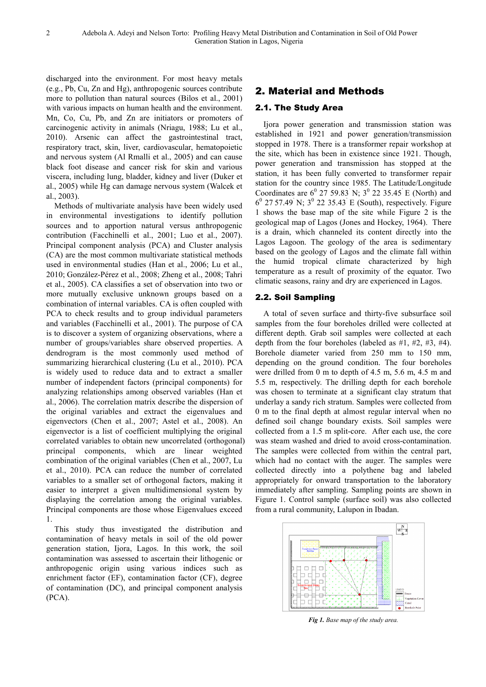discharged into the environment. For most heavy metals (e.g., Pb, Cu, Zn and Hg), anthropogenic sources contribute more to pollution than natural sources (Bilos et al., 2001) with various impacts on human health and the environment. Mn, Co, Cu, Pb, and Zn are initiators or promoters of carcinogenic activity in animals (Nriagu, 1988; Lu et al., 2010). Arsenic can affect the gastrointestinal tract, respiratory tract, skin, liver, cardiovascular, hematopoietic and nervous system (Al Rmalli et al., 2005) and can cause black foot disease and cancer risk for skin and various viscera, including lung, bladder, kidney and liver (Duker et al., 2005) while Hg can damage nervous system (Walcek et al., 2003).

Methods of multivariate analysis have been widely used in environmental investigations to identify pollution sources and to apportion natural versus anthropogenic contribution (Facchinelli et al., 2001; Luo et al., 2007). Principal component analysis (PCA) and Cluster analysis (CA) are the most common multivariate statistical methods used in environmental studies (Han et al., 2006; Lu et al., 2010; González-Pérez et al., 2008; Zheng et al., 2008; Tahri et al., 2005). CA classifies a set of observation into two or more mutually exclusive unknown groups based on a combination of internal variables. CA is often coupled with PCA to check results and to group individual parameters and variables (Facchinelli et al., 2001). The purpose of CA is to discover a system of organizing observations, where a number of groups/variables share observed properties. A dendrogram is the most commonly used method of summarizing hierarchical clustering (Lu et al., 2010). PCA is widely used to reduce data and to extract a smaller number of independent factors (principal components) for analyzing relationships among observed variables (Han et al., 2006). The correlation matrix describe the dispersion of the original variables and extract the eigenvalues and eigenvectors (Chen et al., 2007; Astel et al., 2008). An eigenvector is a list of coefficient multiplying the original correlated variables to obtain new uncorrelated (orthogonal) principal components, which are linear weighted combination of the original variables (Chen et al., 2007, Lu et al., 2010). PCA can reduce the number of correlated variables to a smaller set of orthogonal factors, making it easier to interpret a given multidimensional system by displaying the correlation among the original variables. Principal components are those whose Eigenvalues exceed 1.

This study thus investigated the distribution and contamination of heavy metals in soil of the old power generation station, Ijora, Lagos. In this work, the soil contamination was assessed to ascertain their lithogenic or anthropogenic origin using various indices such as enrichment factor (EF), contamination factor (CF), degree of contamination (DC), and principal component analysis (PCA).

### 2. Material and Methods

#### 2.1. The Study Area

Ijora power generation and transmission station was established in 1921 and power generation/transmission stopped in 1978. There is a transformer repair workshop at the site, which has been in existence since 1921. Though, power generation and transmission has stopped at the station, it has been fully converted to transformer repair station for the country since 1985. The Latitude/Longitude Coordinates are  $6^{\degree}$  27 59.83 N;  $3^{\degree}$  22 35.45 E (North) and  $6^{\circ}$  27 57.49 N;  $3^{\circ}$  22 35.43 E (South), respectively. Figure 1 shows the base map of the site while Figure 2 is the geological map of Lagos (Jones and Hockey, 1964). There is a drain, which channeled its content directly into the Lagos Lagoon. The geology of the area is sedimentary based on the geology of Lagos and the climate fall within the humid tropical climate characterized by high temperature as a result of proximity of the equator. Two climatic seasons, rainy and dry are experienced in Lagos.

#### 2.2. Soil Sampling

A total of seven surface and thirty-five subsurface soil samples from the four boreholes drilled were collected at different depth. Grab soil samples were collected at each depth from the four boreholes (labeled as  $#1, #2, #3, #4$ ). Borehole diameter varied from 250 mm to 150 mm, depending on the ground condition. The four boreholes were drilled from 0 m to depth of 4.5 m, 5.6 m, 4.5 m and 5.5 m, respectively. The drilling depth for each borehole was chosen to terminate at a significant clay stratum that underlay a sandy rich stratum. Samples were collected from 0 m to the final depth at almost regular interval when no defined soil change boundary exists. Soil samples were collected from a 1.5 m split-core. After each use, the core was steam washed and dried to avoid cross-contamination. The samples were collected from within the central part, which had no contact with the auger. The samples were collected directly into a polythene bag and labeled appropriately for onward transportation to the laboratory immediately after sampling. Sampling points are shown in Figure 1. Control sample (surface soil) was also collected from a rural community, Lalupon in Ibadan.



*Fig 1. Base map of the study area.*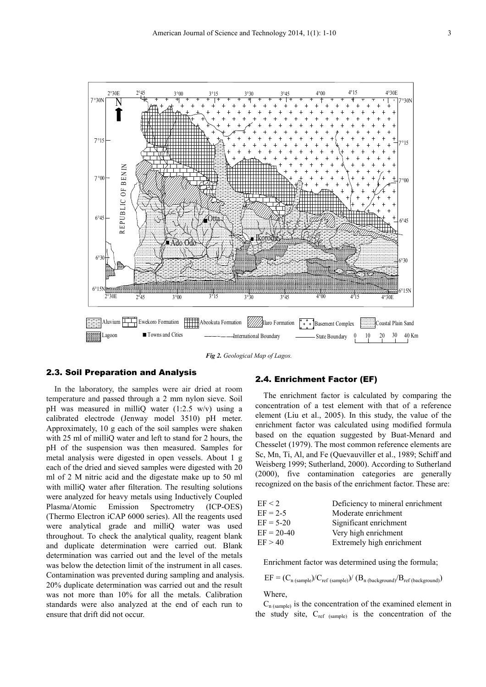

*Fig 2. Geological Map of Lagos.* 

#### 2.3. Soil Preparation and Analysis

In the laboratory, the samples were air dried at room temperature and passed through a 2 mm nylon sieve. Soil pH was measured in milliQ water (1:2.5 w/v) using a calibrated electrode (Jenway model 3510) pH meter. Approximately, 10 g each of the soil samples were shaken with 25 ml of milliQ water and left to stand for 2 hours, the pH of the suspension was then measured. Samples for metal analysis were digested in open vessels. About 1 g each of the dried and sieved samples were digested with 20 ml of 2 M nitric acid and the digestate make up to 50 ml with milliQ water after filteration. The resulting solutions were analyzed for heavy metals using Inductively Coupled Plasma/Atomic Emission Spectrometry (ICP-OES) (Thermo Electron iCAP 6000 series). All the reagents used were analytical grade and milliQ water was used throughout. To check the analytical quality, reagent blank and duplicate determination were carried out. Blank determination was carried out and the level of the metals was below the detection limit of the instrument in all cases. Contamination was prevented during sampling and analysis. 20% duplicate determination was carried out and the result was not more than 10% for all the metals. Calibration standards were also analyzed at the end of each run to ensure that drift did not occur.

#### 2.4. Enrichment Factor (EF)

The enrichment factor is calculated by comparing the concentration of a test element with that of a reference element (Liu et al., 2005). In this study, the value of the enrichment factor was calculated using modified formula based on the equation suggested by Buat-Menard and Chesselet (1979). The most common reference elements are Sc, Mn, Ti, Al, and Fe (Quevauviller et al., 1989; Schiff and Weisberg 1999; Sutherland, 2000). According to Sutherland (2000), five contamination categories are generally recognized on the basis of the enrichment factor. These are:

| EF < 2       | Deficiency to mineral enrichment |
|--------------|----------------------------------|
| $EF = 2-5$   | Moderate enrichment              |
| $EF = 5-20$  | Significant enrichment           |
| $EF = 20-40$ | Very high enrichment             |
| EF > 40      | Extremely high enrichment        |

Enrichment factor was determined using the formula;

$$
EF = (C_{n (sample)} / C_{ref (sample)}) / (B_{n (background)} / B_{ref (background)})
$$

Where,

 $C_{n$  (sample) is the concentration of the examined element in the study site,  $C_{ref}$  (sample) is the concentration of the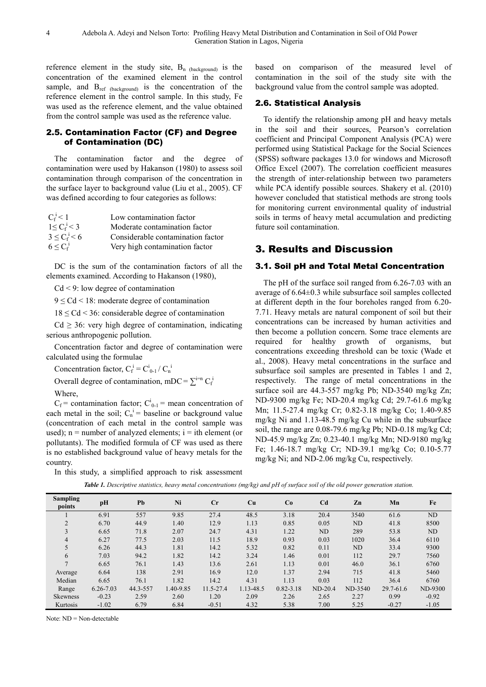reference element in the study site,  $B_n$  (background) is the concentration of the examined element in the control sample, and B<sub>ref (background)</sub> is the concentration of the reference element in the control sample. In this study, Fe was used as the reference element, and the value obtained from the control sample was used as the reference value.

#### 2.5. Contamination Factor (CF) and Degree of Contamination (DC)

The contamination factor and the degree of contamination were used by Hakanson (1980) to assess soil contamination through comparison of the concentration in the surface layer to background value (Liu et al., 2005). CF was defined according to four categories as follows:

| $C_f^i$ < 1       | Low contamination factor          |
|-------------------|-----------------------------------|
| $1 \le C_f^i < 3$ | Moderate contamination factor     |
| $3 \le C_f^i < 6$ | Considerable contamination factor |
| $6 \leq C_f^1$    | Very high contamination factor    |

DC is the sum of the contamination factors of all the elements examined. According to Hakanson (1980),

Cd < 9: low degree of contamination

 $9 \leq Cd \leq 18$ : moderate degree of contamination

 $18 \leq$  Cd  $\leq$  36: considerable degree of contamination

 $Cd \geq 36$ : very high degree of contamination, indicating serious anthropogenic pollution.

Concentration factor and degree of contamination were calculated using the formulae

Concentration factor,  $C_f^i = C_{0-1}^i / C_n^i$ 

Overall degree of contamination, mDC =  $\sum_{i=1}^{i=n} C_i$ 

Where,

 $C_f$  = contamination factor;  $C_{0-1}^i$  = mean concentration of each metal in the soil;  $C_n^i$  = baseline or background value (concentration of each metal in the control sample was used);  $n =$  number of analyzed elements;  $i =$  ith element (or pollutants). The modified formula of CF was used as there is no established background value of heavy metals for the country.

In this study, a simplified approach to risk assessment

based on comparison of the measured level of contamination in the soil of the study site with the background value from the control sample was adopted.

#### 2.6. Statistical Analysis

To identify the relationship among pH and heavy metals in the soil and their sources, Pearson's correlation coefficient and Principal Component Analysis (PCA) were performed using Statistical Package for the Social Sciences (SPSS) software packages 13.0 for windows and Microsoft Office Excel (2007). The correlation coefficient measures the strength of inter-relationship between two parameters while PCA identify possible sources. Shakery et al. (2010) however concluded that statistical methods are strong tools for monitoring current environmental quality of industrial soils in terms of heavy metal accumulation and predicting future soil contamination.

## 3. Results and Discussion

#### 3.1. Soil pH and Total Metal Concentration

The pH of the surface soil ranged from 6.26-7.03 with an average of 6.64±0.3 while subsurface soil samples collected at different depth in the four boreholes ranged from 6.20- 7.71. Heavy metals are natural component of soil but their concentrations can be increased by human activities and then become a pollution concern. Some trace elements are required for healthy growth of organisms, but concentrations exceeding threshold can be toxic (Wade et al., 2008). Heavy metal concentrations in the surface and subsurface soil samples are presented in Tables 1 and 2, respectively. The range of metal concentrations in the surface soil are 44.3-557 mg/kg Pb; ND-3540 mg/kg Zn; ND-9300 mg/kg Fe; ND-20.4 mg/kg Cd; 29.7-61.6 mg/kg Mn; 11.5-27.4 mg/kg Cr; 0.82-3.18 mg/kg Co; 1.40-9.85 mg/kg Ni and 1.13-48.5 mg/kg Cu while in the subsurface soil, the range are 0.08-79.6 mg/kg Pb; ND-0.18 mg/kg Cd; ND-45.9 mg/kg Zn; 0.23-40.1 mg/kg Mn; ND-9180 mg/kg Fe; 1.46-18.7 mg/kg Cr; ND-39.1 mg/kg Co; 0.10-5.77 mg/kg Ni; and ND-2.06 mg/kg Cu, respectively.

| <b>Table 1.</b> Descriptive statistics, heavy metal concentrations (mg/kg) and pH of surface soil of the old power generation station. |  |  |  |
|----------------------------------------------------------------------------------------------------------------------------------------|--|--|--|

| <b>Sampling</b><br>points | pH            | Pb       | Ni        | Cr        | Cu        | Co            | C <sub>d</sub> | Zn      | Mn        | Fe      |
|---------------------------|---------------|----------|-----------|-----------|-----------|---------------|----------------|---------|-----------|---------|
|                           | 6.91          | 557      | 9.85      | 27.4      | 48.5      | 3.18          | 20.4           | 3540    | 61.6      | ND      |
| 2                         | 6.70          | 44.9     | 1.40      | 12.9      | 1.13      | 0.85          | 0.05           | ND      | 41.8      | 8500    |
| 3                         | 6.65          | 71.8     | 2.07      | 24.7      | 4.31      | 1.22          | ND             | 289     | 53.8      | ND      |
| $\overline{4}$            | 6.27          | 77.5     | 2.03      | 11.5      | 18.9      | 0.93          | 0.03           | 1020    | 36.4      | 6110    |
|                           | 6.26          | 44.3     | 1.81      | 14.2      | 5.32      | 0.82          | 0.11           | ND      | 33.4      | 9300    |
| 6                         | 7.03          | 94.2     | 1.82      | 14.2      | 3.24      | 1.46          | 0.01           | 112     | 29.7      | 7560    |
|                           | 6.65          | 76.1     | 1.43      | 13.6      | 2.61      | 1.13          | 0.01           | 46.0    | 36.1      | 6760    |
| Average                   | 6.64          | 138      | 2.91      | 16.9      | 12.0      | 1.37          | 2.94           | 715     | 41.8      | 5460    |
| Median                    | 6.65          | 76.1     | 1.82      | 14.2      | 4.31      | 1.13          | 0.03           | 112     | 36.4      | 6760    |
| Range                     | $6.26 - 7.03$ | 44.3-557 | 1.40-9.85 | 11.5-27.4 | 1.13-48.5 | $0.82 - 3.18$ | $ND-20.4$      | ND-3540 | 29.7-61.6 | ND-9300 |
| <b>Skewness</b>           | $-0.23$       | 2.59     | 2.60      | 1.20      | 2.09      | 2.26          | 2.65           | 2.27    | 0.99      | $-0.92$ |
| Kurtosis                  | $-1.02$       | 6.79     | 6.84      | $-0.51$   | 4.32      | 5.38          | 7.00           | 5.25    | $-0.27$   | $-1.05$ |

Note: ND = Non-detectable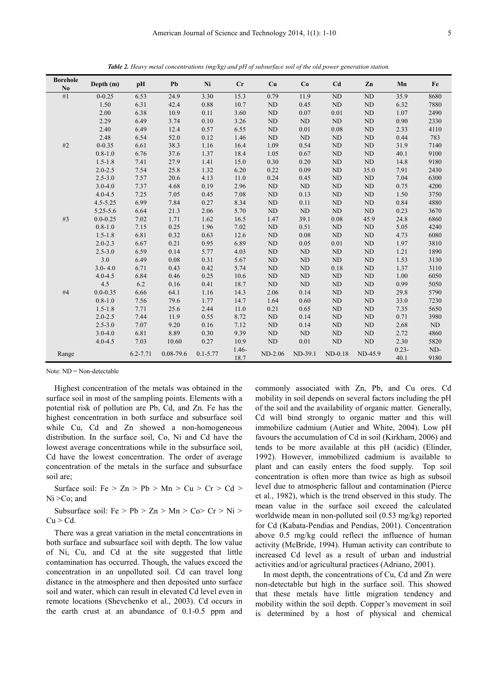|                       |              |          |               | ு            |         |            |             |                 |            |          |          |
|-----------------------|--------------|----------|---------------|--------------|---------|------------|-------------|-----------------|------------|----------|----------|
| <b>Borehole</b><br>No | Depth (m)    | pH       | Pb            | Ni           | $C_{r}$ | Cu         | Co          | Cd              | Zn         | Mn       | Fe       |
| #1                    | $0 - 0.25$   | 6.53     | 24.9          | 3.30         | 15.3    | 0.79       | 11.9        | ND              | ND         | 35.9     | 8680     |
|                       | 1.50         | 6.31     | 42.4          | 0.88         | 10.7    | ND         | 0.45        | ND              | ND         | 6.32     | 7880     |
|                       | 2.00         | 6.38     | 10.9          | 0.11         | 3.60    | ND         | 0.07        | 0.01            | ND         | 1.07     | 2490     |
|                       | 2.29         | 6.49     | 3.74          | 0.10         | 3.26    | ND         | ND          | ND              | ND         | 0.90     | 2330     |
|                       | 2.40         | 6.49     | 12.4          | 0.57         | 6.55    | ND         | 0.01        | 0.08            | ND         | 2.33     | 4110     |
|                       | 2.48         | 6.54     | 52.0          | 0.12         | 1.46    | ND         | ND          | ND              | ND         | 0.44     | 783      |
| #2                    | $0 - 0.35$   | 6.61     | 38.3          | 1.16         | 16.4    | 1.09       | 0.54        | ND              | ND         | 31.9     | 7140     |
|                       | $0.8 - 1.0$  | 6.76     | 37.6          | 1.37         | 18.4    | 1.05       | 0.67        | ND              | ND         | 40.1     | 9100     |
|                       | $1.5 - 1.8$  | 7.41     | 27.9          | 1.41         | 15.0    | 0.30       | 0.20        | ND              | ND         | 14.8     | 9180     |
|                       | $2.0 - 2.5$  | 7.54     | 25.8          | 1.32         | 6.20    | 0.22       | 0.09        | ND              | 35.0       | 7.91     | 2430     |
|                       | $2.5 - 3.0$  | 7.57     | 20.6          | 4.13         | 11.0    | 0.24       | 0.45        | ND              | ND         | 7.04     | 6300     |
|                       | $3.0 - 4.0$  | 7.37     | 4.68          | 0.19         | 2.96    | ND         | ND          | ND              | ND         | 0.75     | 4200     |
|                       | $4.0 - 4.5$  | 7.25     | 7.05          | 0.45         | 7.08    | ND         | 0.13        | ND              | ND         | 1.50     | 3750     |
|                       | $4.5 - 5.25$ | 6.99     | 7.84          | 0.27         | 8.34    | ND         | 0.11        | ND              | ND         | 0.84     | 4880     |
|                       | $5.25 - 5.6$ | 6.64     | 21.3          | 2.06         | 5.70    | ND         | ND          | ND              | ND         | 0.23     | 3670     |
| $\#3$                 | $0.0 - 0.25$ | 7.02     | 1.71          | 1.62         | 16.5    | 1.47       | 39.1        | 0.08            | 45.9       | 24.8     | 6860     |
|                       | $0.8 - 1.0$  | 7.15     | 0.25          | 1.96         | 7.02    | ND         | 0.51        | ND              | ND         | 5.05     | 4240     |
|                       | $1.5 - 1.8$  | 6.81     | 0.32          | 0.63         | 12.6    | ND         | 0.08        | ND              | ND         | 4.73     | 6080     |
|                       | $2.0 - 2.3$  | 6.67     | 0.21          | 0.95         | 6.89    | ND         | 0.05        | 0.01            | ND         | 1.97     | 3810     |
|                       | $2.5 - 3.0$  | 6.59     | 0.14          | 5.77         | 4.03    | ND         | ND          | ND              | ND         | 1.21     | 1890     |
|                       | 3.0          | 6.49     | 0.08          | 0.31         | 5.67    | ${\rm ND}$ | $\mbox{ND}$ | ND              | $\rm ND$   | 1.53     | 3130     |
|                       | $3.0 - 4.0$  | 6.71     | 0.43          | 0.42         | 5.74    | ND         | $\rm ND$    | 0.18            | ${\rm ND}$ | 1.37     | 3110     |
|                       | $4.0 - 4.5$  | 6.84     | 0.46          | 0.25         | 10.6    | ND         | ND          | ND              | ND         | 1.00     | 6050     |
|                       | 4.5          | 6.2      | 0.16          | 0.41         | 18.7    | ND         | ND          | ND              | ND         | 0.99     | 5050     |
| #4                    | $0.0 - 0.35$ | 6.66     | 64.1          | 1.16         | 14.3    | 2.06       | 0.14        | $\rm ND$        | $\rm ND$   | 29.8     | 5790     |
|                       | $0.8 - 1.0$  | 7.56     | 79.6          | 1.77         | 14.7    | 1.64       | 0.60        | ND              | ${\rm ND}$ | 33.0     | 7230     |
|                       | $1.5 - 1.8$  | 7.71     | 25.6          | 2.44         | 11.0    | 0.21       | 0.65        | ND              | ND         | 7.35     | 5650     |
|                       | $2.0 - 2.5$  | 7.44     | 11.9          | 0.55         | 8.72    | ND         | 0.14        | ND              | ND         | 0.71     | 3980     |
|                       | $2.5 - 3.0$  | 7.07     | 9.20          | 0.16         | 7.12    | ND         | 0.14        | ND              | ND         | 2.68     | $\rm ND$ |
|                       | $3.0 - 4.0$  | 6.81     | 8.89          | 0.30         | 9.39    | ND         | ND          | $\mbox{\sc ND}$ | $\rm ND$   | 2.72     | 4860     |
|                       | $4.0 - 4.5$  | 7.03     | 10.60         | 0.27         | 10.9    | ND         | 0.01        | $\mbox{\sc ND}$ | ${\rm ND}$ | 2.30     | 5820     |
| Range                 |              | 6.2-7.71 | $0.08 - 79.6$ | $0.1 - 5.77$ | $1.46-$ | $ND-2.06$  | ND-39.1     | $ND-0.18$       | ND-45.9    | $0.23 -$ | ND-      |
|                       |              |          |               |              | 18.7    |            |             |                 |            | 40.1     | 9180     |

*Table 2. Heavy metal concentrations (mg/kg) and pH of subsurface soil of the old power generation station.* 

Note: ND = Non-detectable

Highest concentration of the metals was obtained in the surface soil in most of the sampling points. Elements with a potential risk of pollution are Pb, Cd, and Zn. Fe has the highest concentration in both surface and subsurface soil while Cu, Cd and Zn showed a non-homogeneous distribution. In the surface soil, Co, Ni and Cd have the lowest average concentrations while in the subsurface soil, Cd have the lowest concentration. The order of average concentration of the metals in the surface and subsurface soil are;

Surface soil: Fe  $> Zn > Pb > Mn > Cu > Cr > Cd >$ Ni > Co; and

Subsurface soil:  $Fe > Pb > Zn > Mn > Co > Cr > Ni >$  $Cu > Cd.$ 

There was a great variation in the metal concentrations in both surface and subsurface soil with depth. The low value of Ni, Cu, and Cd at the site suggested that little contamination has occurred. Though, the values exceed the concentration in an unpolluted soil. Cd can travel long distance in the atmosphere and then deposited unto surface soil and water, which can result in elevated Cd level even in remote locations (Shevchenko et al., 2003). Cd occurs in the earth crust at an abundance of 0.1-0.5 ppm and commonly associated with Zn, Pb, and Cu ores. Cd mobility in soil depends on several factors including the pH of the soil and the availability of organic matter. Generally, Cd will bind strongly to organic matter and this will immobilize cadmium (Autier and White, 2004). Low pH favours the accumulation of Cd in soil (Kirkham, 2006) and tends to be more available at this pH (acidic) (Elinder, 1992). However, immobilized cadmium is available to plant and can easily enters the food supply. Top soil concentration is often more than twice as high as subsoil level due to atmospheric fallout and contamination (Pierce et al., 1982), which is the trend observed in this study. The mean value in the surface soil exceed the calculated worldwide mean in non-polluted soil (0.53 mg/kg) reported for Cd (Kabata-Pendias and Pendias, 2001). Concentration above 0.5 mg/kg could reflect the influence of human activity (McBride, 1994). Human activity can contribute to increased Cd level as a result of urban and industrial activities and/or agricultural practices (Adriano, 2001).

In most depth, the concentrations of Cu, Cd and Zn were non-detectable but high in the surface soil. This showed that these metals have little migration tendency and mobility within the soil depth. Copper's movement in soil is determined by a host of physical and chemical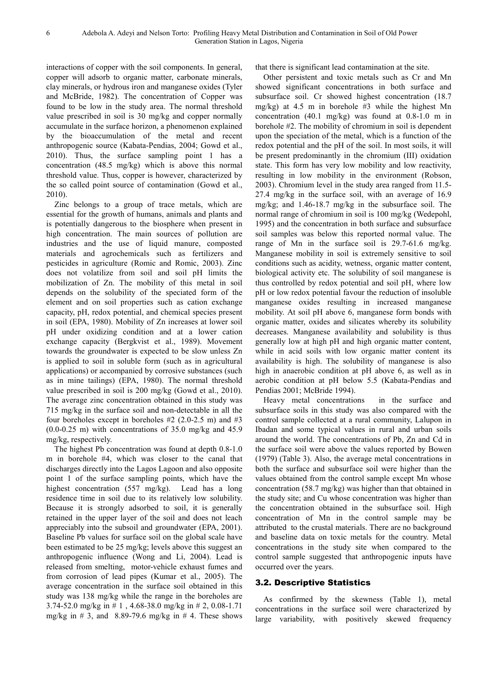interactions of copper with the soil components. In general, copper will adsorb to organic matter, carbonate minerals, clay minerals, or hydrous iron and manganese oxides (Tyler and McBride, 1982). The concentration of Copper was found to be low in the study area. The normal threshold value prescribed in soil is 30 mg/kg and copper normally accumulate in the surface horizon, a phenomenon explained by the bioaccumulation of the metal and recent anthropogenic source (Kabata-Pendias, 2004; Gowd et al., 2010). Thus, the surface sampling point 1 has a concentration (48.5 mg/kg) which is above this normal threshold value. Thus, copper is however, characterized by the so called point source of contamination (Gowd et al., 2010).

Zinc belongs to a group of trace metals, which are essential for the growth of humans, animals and plants and is potentially dangerous to the biosphere when present in high concentration. The main sources of pollution are industries and the use of liquid manure, composted materials and agrochemicals such as fertilizers and pesticides in agriculture (Romic and Romic, 2003). Zinc does not volatilize from soil and soil pH limits the mobilization of Zn. The mobility of this metal in soil depends on the solubility of the speciated form of the element and on soil properties such as cation exchange capacity, pH, redox potential, and chemical species present in soil (EPA, 1980). Mobility of Zn increases at lower soil pH under oxidizing condition and at a lower cation exchange capacity (Bergkvist et al., 1989). Movement towards the groundwater is expected to be slow unless Zn is applied to soil in soluble form (such as in agricultural applications) or accompanied by corrosive substances (such as in mine tailings) (EPA, 1980). The normal threshold value prescribed in soil is 200 mg/kg (Gowd et al., 2010). The average zinc concentration obtained in this study was 715 mg/kg in the surface soil and non-detectable in all the four boreholes except in boreholes  $#2$  (2.0-2.5 m) and  $#3$  $(0.0-0.25 \text{ m})$  with concentrations of 35.0 mg/kg and 45.9 mg/kg, respectively.

The highest Pb concentration was found at depth 0.8-1.0 m in borehole #4, which was closer to the canal that discharges directly into the Lagos Lagoon and also opposite point 1 of the surface sampling points, which have the highest concentration (557 mg/kg). Lead has a long residence time in soil due to its relatively low solubility. Because it is strongly adsorbed to soil, it is generally retained in the upper layer of the soil and does not leach appreciably into the subsoil and groundwater (EPA, 2001). Baseline Pb values for surface soil on the global scale have been estimated to be 25 mg/kg; levels above this suggest an anthropogenic influence (Wong and Li, 2004). Lead is released from smelting, motor-vehicle exhaust fumes and from corrosion of lead pipes (Kumar et al., 2005). The average concentration in the surface soil obtained in this study was 138 mg/kg while the range in the boreholes are 3.74-52.0 mg/kg in # 1 , 4.68-38.0 mg/kg in # 2, 0.08-1.71 mg/kg in  $\#$  3, and 8.89-79.6 mg/kg in  $\#$  4. These shows that there is significant lead contamination at the site.

Other persistent and toxic metals such as Cr and Mn showed significant concentrations in both surface and subsurface soil. Cr showed highest concentration (18.7 mg/kg) at 4.5 m in borehole #3 while the highest Mn concentration (40.1 mg/kg) was found at 0.8-1.0 m in borehole #2. The mobility of chromium in soil is dependent upon the speciation of the metal, which is a function of the redox potential and the pH of the soil. In most soils, it will be present predominantly in the chromium (III) oxidation state. This form has very low mobility and low reactivity, resulting in low mobility in the environment (Robson, 2003). Chromium level in the study area ranged from 11.5- 27.4 mg/kg in the surface soil, with an average of 16.9 mg/kg; and 1.46-18.7 mg/kg in the subsurface soil. The normal range of chromium in soil is 100 mg/kg (Wedepohl, 1995) and the concentration in both surface and subsurface soil samples was below this reported normal value. The range of Mn in the surface soil is 29.7-61.6 mg/kg. Manganese mobility in soil is extremely sensitive to soil conditions such as acidity, wetness, organic matter content, biological activity etc. The solubility of soil manganese is thus controlled by redox potential and soil pH, where low pH or low redox potential favour the reduction of insoluble manganese oxides resulting in increased manganese mobility. At soil pH above 6, manganese form bonds with organic matter, oxides and silicates whereby its solubility decreases. Manganese availability and solubility is thus generally low at high pH and high organic matter content, while in acid soils with low organic matter content its availability is high. The solubility of manganese is also high in anaerobic condition at pH above 6, as well as in aerobic condition at pH below 5.5 (Kabata-Pendias and Pendias 2001; McBride 1994).

Heavy metal concentrations in the surface and subsurface soils in this study was also compared with the control sample collected at a rural community, Lalupon in Ibadan and some typical values in rural and urban soils around the world. The concentrations of Pb, Zn and Cd in the surface soil were above the values reported by Bowen (1979) (Table 3). Also, the average metal concentrations in both the surface and subsurface soil were higher than the values obtained from the control sample except Mn whose concentration (58.7 mg/kg) was higher than that obtained in the study site; and Cu whose concentration was higher than the concentration obtained in the subsurface soil. High concentration of Mn in the control sample may be attributed to the crustal materials. There are no background and baseline data on toxic metals for the country. Metal concentrations in the study site when compared to the control sample suggested that anthropogenic inputs have occurred over the years.

#### 3.2. Descriptive Statistics

As confirmed by the skewness (Table 1), metal concentrations in the surface soil were characterized by large variability, with positively skewed frequency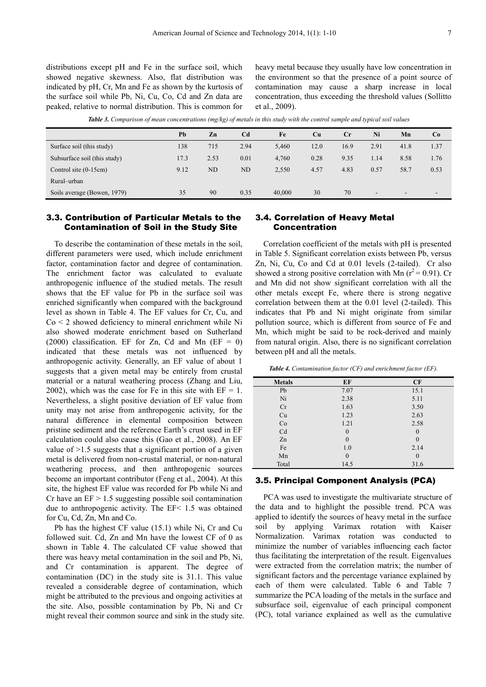distributions except pH and Fe in the surface soil, which showed negative skewness. Also, flat distribution was indicated by pH, Cr, Mn and Fe as shown by the kurtosis of the surface soil while Pb, Ni, Cu, Co, Cd and Zn data are peaked, relative to normal distribution. This is common for

heavy metal because they usually have low concentration in the environment so that the presence of a point source of contamination may cause a sharp increase in local concentration, thus exceeding the threshold values (Sollitto et al., 2009).

*Table 3. Comparison of mean concentrations (mg/kg) of metals in this study with the control sample and typical soil values* 

|                              | Pb   | Zn             | C <sub>d</sub> | Fe     | Cu   | Cr   | Ni   | Mn             | Co   |
|------------------------------|------|----------------|----------------|--------|------|------|------|----------------|------|
| Surface soil (this study)    | 138  | 715            | 2.94           | 5,460  | 12.0 | 16.9 | 2.91 | 41.8           | 1.37 |
| Subsurface soil (this study) | 17.3 | 2.53           | 0.01           | 4,760  | 0.28 | 9.35 | 1.14 | 8.58           | 1.76 |
| Control site $(0-15cm)$      | 9.12 | N <sub>D</sub> | ND             | 2,550  | 4.57 | 4.83 | 0.57 | 58.7           | 0.53 |
| Rural-urban                  |      |                |                |        |      |      |      |                |      |
| Soils average (Bowen, 1979)  | 35   | 90             | 0.35           | 40,000 | 30   | 70   | -    | $\blacksquare$ |      |

#### 3.3. Contribution of Particular Metals to the Contamination of Soil in the Study Site

To describe the contamination of these metals in the soil, different parameters were used, which include enrichment factor, contamination factor and degree of contamination. The enrichment factor was calculated to evaluate anthropogenic influence of the studied metals. The result shows that the EF value for Pb in the surface soil was enriched significantly when compared with the background level as shown in Table 4. The EF values for Cr, Cu, and Co < 2 showed deficiency to mineral enrichment while Ni also showed moderate enrichment based on Sutherland (2000) classification. EF for Zn, Cd and Mn ( $EF = 0$ ) indicated that these metals was not influenced by anthropogenic activity. Generally, an EF value of about 1 suggests that a given metal may be entirely from crustal material or a natural weathering process (Zhang and Liu, 2002), which was the case for Fe in this site with  $EF = 1$ . Nevertheless, a slight positive deviation of EF value from unity may not arise from anthropogenic activity, for the natural difference in elemental composition between pristine sediment and the reference Earth's crust used in EF calculation could also cause this (Gao et al., 2008). An EF value of  $>1.5$  suggests that a significant portion of a given metal is delivered from non-crustal material, or non-natural weathering process, and then anthropogenic sources become an important contributor (Feng et al., 2004). At this site, the highest EF value was recorded for Pb while Ni and Cr have an  $EF > 1.5$  suggesting possible soil contamination due to anthropogenic activity. The EF< 1.5 was obtained for Cu, Cd, Zn, Mn and Co.

Pb has the highest CF value (15.1) while Ni, Cr and Cu followed suit. Cd, Zn and Mn have the lowest CF of 0 as shown in Table 4. The calculated CF value showed that there was heavy metal contamination in the soil and Pb, Ni, and Cr contamination is apparent. The degree of contamination (DC) in the study site is 31.1. This value revealed a considerable degree of contamination, which might be attributed to the previous and ongoing activities at the site. Also, possible contamination by Pb, Ni and Cr might reveal their common source and sink in the study site.

#### 3.4. Correlation of Heavy Metal Concentration

Correlation coefficient of the metals with pH is presented in Table 5. Significant correlation exists between Pb, versus Zn, Ni, Cu, Co and Cd at 0.01 levels (2-tailed). Cr also showed a strong positive correlation with Mn ( $r^2$  = 0.91). Cr and Mn did not show significant correlation with all the other metals except Fe, where there is strong negative correlation between them at the 0.01 level (2-tailed). This indicates that Pb and Ni might originate from similar pollution source, which is different from source of Fe and Mn, which might be said to be rock-derived and mainly from natural origin. Also, there is no significant correlation between pH and all the metals.

*Table 4. Contamination factor (CF) and enrichment factor (EF).* 

| <b>Metals</b> | EF             | CF             |
|---------------|----------------|----------------|
| Pb            | 7.07           | 15.1           |
| Ni            | 2.38           | 5.11           |
| Cr            | 1.63           | 3.50           |
| Cu            | 1.23           | 2.63           |
| Co            | 1.21           | 2.58           |
| Cd            | $\theta$       | $\theta$       |
| Zn            | $\theta$       | $\theta$       |
| Fe            | 1.0            | 2.14           |
| Mn            | $\overline{0}$ | $\overline{0}$ |
| Total         | 14.5           | 31.6           |

#### 3.5. Principal Component Analysis (PCA)

PCA was used to investigate the multivariate structure of the data and to highlight the possible trend. PCA was applied to identify the sources of heavy metal in the surface soil by applying Varimax rotation with Kaiser Normalization. Varimax rotation was conducted to minimize the number of variables influencing each factor thus facilitating the interpretation of the result. Eigenvalues were extracted from the correlation matrix; the number of significant factors and the percentage variance explained by each of them were calculated. Table 6 and Table 7 summarize the PCA loading of the metals in the surface and subsurface soil, eigenvalue of each principal component (PC), total variance explained as well as the cumulative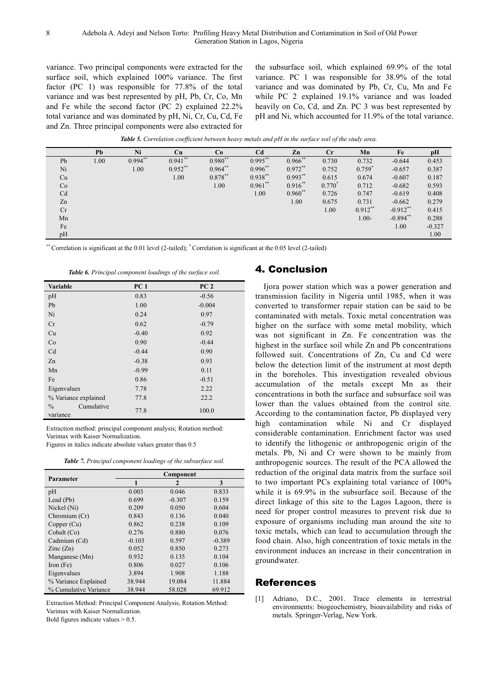variance. Two principal components were extracted for the surface soil, which explained 100% variance. The first factor (PC 1) was responsible for 77.8% of the total variance and was best represented by pH, Pb, Cr, Co, Mn and Fe while the second factor (PC 2) explained 22.2% total variance and was dominated by pH, Ni, Cr, Cu, Cd, Fe and Zn. Three principal components were also extracted for

the subsurface soil, which explained 69.9% of the total variance. PC 1 was responsible for 38.9% of the total variance and was dominated by Pb, Cr, Cu, Mn and Fe while PC 2 explained 19.1% variance and was loaded heavily on Co, Cd, and Zn. PC 3 was best represented by pH and Ni, which accounted for 11.9% of the total variance.

*Table 5. Correlation coefficient between heavy metals and pH in the surface soil of the study area.* 

| Ni<br>C <sub>d</sub><br>Cu<br>Cr<br>Pb<br>Mn<br>Fe<br>Co<br>Zn<br>pH<br>$0.941**$<br>$0.980**$<br>$0.995***$<br>$0.966$ **<br>$0.994**$<br>0.730<br>1.00<br>0.732<br>$-0.644$<br>0.453<br>Pb |                                               |                   |    |  |
|----------------------------------------------------------------------------------------------------------------------------------------------------------------------------------------------|-----------------------------------------------|-------------------|----|--|
|                                                                                                                                                                                              |                                               |                   |    |  |
|                                                                                                                                                                                              |                                               |                   |    |  |
| $0.759*$<br>$-0.657$<br>0.387                                                                                                                                                                | $0.964**$<br>$0.996***$<br>$0.972**$<br>0.752 | $0.952**$<br>1.00 | Ni |  |
| $0.878***$<br>$0.938***$<br>$0.993**$<br>1.00<br>Cu<br>0.615<br>0.674<br>$-0.607$<br>0.187                                                                                                   |                                               |                   |    |  |
| $0.961***$<br>$0.916***$<br>$0.770^*$<br>1.00<br>$-0.682$<br>Co<br>0.712<br>0.593                                                                                                            |                                               |                   |    |  |
| $0.960**$<br>Cd<br>1.00<br>0.747<br>0.408<br>0.726<br>$-0.619$                                                                                                                               |                                               |                   |    |  |
| 1.00<br>Zn<br>$-0.662$<br>0.279<br>0.675<br>0.731                                                                                                                                            |                                               |                   |    |  |
| $0.912**$<br>$-0.912$ <sup>**</sup><br>Cr<br>1.00<br>0.415                                                                                                                                   |                                               |                   |    |  |
| $-0.894**$<br>0.288<br>$1.00 -$<br>Mn                                                                                                                                                        |                                               |                   |    |  |
| Fe<br>1.00<br>$-0.327$                                                                                                                                                                       |                                               |                   |    |  |
| pH<br>1.00                                                                                                                                                                                   |                                               |                   |    |  |

\*\* Correlation is significant at the 0.01 level (2-tailed);  $*$  Correlation is significant at the 0.05 level (2-tailed)

*Table 6. Principal component loadings of the surface soil.* 

| Variable                                | PC <sub>1</sub> | PC <sub>2</sub> |
|-----------------------------------------|-----------------|-----------------|
| pH                                      | 0.83            | $-0.56$         |
| Pb                                      | 1.00            | $-0.004$        |
| Ni                                      | 0.24            | 0.97            |
| Cr                                      | 0.62            | $-0.79$         |
| Cu                                      | $-0.40$         | 0.92            |
| Co                                      | 0.90            | $-0.44$         |
| Cd                                      | $-0.44$         | 0.90            |
| Zn                                      | $-0.38$         | 0.93            |
| Mn                                      | $-0.99$         | 0.11            |
| Fe                                      | 0.86            | $-0.51$         |
| Eigenvalues                             | 7.78            | 2.22            |
| % Variance explained                    | 77.8            | 22.2            |
| $\frac{0}{0}$<br>Cumulative<br>variance | 77.8            | 100.0           |

Extraction method: principal component analysis; Rotation method: Varimax with Kaiser Normalization.

Figures in italics indicate absolute values greater than 0.5

*Table 7. Principal component loadings of the subsurface soil.* 

| <b>Parameter</b>         | Component |              |          |  |  |
|--------------------------|-----------|--------------|----------|--|--|
|                          | 1         | $\mathbf{2}$ | 3        |  |  |
| pH                       | 0.003     | 0.046        | 0.833    |  |  |
| Lead (Pb)                | 0.699     | $-0.307$     | 0.159    |  |  |
| Nickel (Ni)              | 0.209     | 0.050        | 0.604    |  |  |
| Chromium (Cr)            | 0.843     | 0.136        | 0.040    |  |  |
| Copper (Cu)              | 0.862     | 0.238        | 0.109    |  |  |
| Cobalt (Co)              | 0.276     | 0.880        | 0.076    |  |  |
| Cadmium (Cd)             | $-0.103$  | 0.597        | $-0.389$ |  |  |
| $\text{Zinc}(\text{Zn})$ | 0.052     | 0.850        | 0.273    |  |  |
| Manganese (Mn)           | 0.932     | 0.135        | 0.104    |  |  |
| Iron $(Fe)$              | 0.806     | 0.027        | 0.106    |  |  |
| Eigenvalues              | 3.894     | 1.908        | 1.188    |  |  |
| % Variance Explained     | 38.944    | 19.084       | 11.884   |  |  |
| % Cumulative Variance    | 38.944    | 58.028       | 69.912   |  |  |

Extraction Method: Principal Component Analysis, Rotation Method: Varimax with Kaiser Normalization. Bold figures indicate values  $> 0.5$ .

#### 4. Conclusion

Ijora power station which was a power generation and transmission facility in Nigeria until 1985, when it was converted to transformer repair station can be said to be contaminated with metals. Toxic metal concentration was higher on the surface with some metal mobility, which was not significant in Zn. Fe concentration was the highest in the surface soil while Zn and Pb concentrations followed suit. Concentrations of Zn, Cu and Cd were below the detection limit of the instrument at most depth in the boreholes. This investigation revealed obvious accumulation of the metals except Mn as their concentrations in both the surface and subsurface soil was lower than the values obtained from the control site. According to the contamination factor, Pb displayed very high contamination while Ni and Cr displayed considerable contamination. Enrichment factor was used to identify the lithogenic or anthropogenic origin of the metals. Pb, Ni and Cr were shown to be mainly from anthropogenic sources. The result of the PCA allowed the reduction of the original data matrix from the surface soil to two important PCs explaining total variance of 100% while it is 69.9% in the subsurface soil. Because of the direct linkage of this site to the Lagos Lagoon, there is need for proper control measures to prevent risk due to exposure of organisms including man around the site to toxic metals, which can lead to accumulation through the food chain. Also, high concentration of toxic metals in the environment induces an increase in their concentration in groundwater.

#### References

[1] Adriano, D.C., 2001. Trace elements in terrestrial environments: biogeochemistry, bioavailability and risks of metals. Springer-Verlag, New York.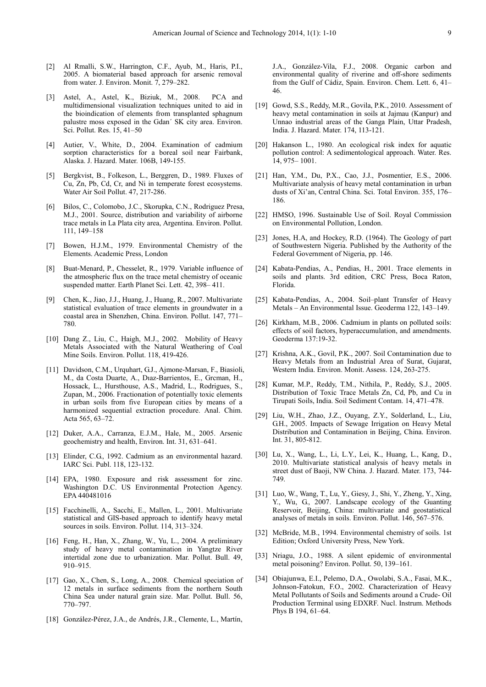- [2] Al Rmalli, S.W., Harrington, C.F., Ayub, M., Haris, P.I., 2005. A biomaterial based approach for arsenic removal from water. J. Environ. Monit. 7, 279–282.
- [3] Astel, A., Astel, K., Biziuk, M., 2008. PCA and multidimensional visualization techniques united to aid in the bioindication of elements from transplanted sphagnum palustre moss exposed in the Gdan´ SK city area. Environ. Sci. Pollut. Res. 15, 41–50
- [4] Autier, V., White, D., 2004. Examination of cadmium sorption characteristics for a boreal soil near Fairbank, Alaska. J. Hazard. Mater. 106B, 149-155.
- [5] Bergkvist, B., Folkeson, L., Berggren, D., 1989. Fluxes of Cu, Zn, Pb, Cd, Cr, and Ni in temperate forest ecosystems. Water Air Soil Pollut. 47, 217-286.
- [6] Bilos, C., Colomobo, J.C., Skorupka, C.N., Rodriguez Presa, M.J., 2001. Source, distribution and variability of airborne trace metals in La Plata city area, Argentina. Environ. Pollut. 111, 149–158
- [7] Bowen, H.J.M., 1979. Environmental Chemistry of the Elements. Academic Press, London
- [8] Buat-Menard, P., Chesselet, R., 1979. Variable influence of the atmospheric flux on the trace metal chemistry of oceanic suspended matter. Earth Planet Sci. Lett. 42, 398– 411.
- [9] Chen, K., Jiao, J.J., Huang, J., Huang, R., 2007. Multivariate statistical evaluation of trace elements in groundwater in a coastal area in Shenzhen, China. Environ. Pollut. 147, 771– 780.
- [10] Dang Z., Liu, C., Haigh, M.J., 2002. Mobility of Heavy Metals Associated with the Natural Weathering of Coal Mine Soils. Environ. Pollut. 118, 419-426.
- [11] Davidson, C.M., Urquhart, G.J., Ajmone-Marsan, F., Biasioli, M., da Costa Duarte, A., Dıaz-Barrientos, E., Grcman, H., Hossack, L., Hursthouse, A.S., Madrid, L., Rodrigues, S., Zupan, M., 2006. Fractionation of potentially toxic elements in urban soils from five European cities by means of a harmonized sequential extraction procedure. Anal. Chim. Acta 565, 63–72.
- [12] Duker, A.A., Carranza, E.J.M., Hale, M., 2005. Arsenic geochemistry and health, Environ. Int. 31, 631–641.
- [13] Elinder, C.G., 1992. Cadmium as an environmental hazard. IARC Sci. Publ. 118, 123-132.
- [14] EPA, 1980. Exposure and risk assessment for zinc. Washington D.C. US Environmental Protection Agency. EPA 440481016
- [15] Facchinelli, A., Sacchi, E., Mallen, L., 2001. Multivariate statistical and GIS-based approach to identify heavy metal sources in soils. Environ. Pollut. 114, 313–324.
- [16] Feng, H., Han, X., Zhang, W., Yu, L., 2004. A preliminary study of heavy metal contamination in Yangtze River intertidal zone due to urbanization. Mar. Pollut. Bull. 49, 910–915.
- [17] Gao, X., Chen, S., Long, A., 2008. Chemical speciation of 12 metals in surface sediments from the northern South China Sea under natural grain size. Mar. Pollut. Bull. 56, 770–797.
- [18] González-Pérez, J.A., de Andrés, J.R., Clemente, L., Martín,

J.A., González-Vila, F.J., 2008. Organic carbon and environmental quality of riverine and off-shore sediments from the Gulf of Cádiz, Spain. Environ. Chem. Lett. 6, 41– 46.

- [19] Gowd, S.S., Reddy, M.R., Govila, P.K., 2010. Assessment of heavy metal contamination in soils at Jajmau (Kanpur) and Unnao industrial areas of the Ganga Plain, Uttar Pradesh, India. J. Hazard. Mater. 174, 113-121.
- [20] Hakanson L., 1980. An ecological risk index for aquatic pollution control: A sedimentological approach. Water. Res. 14, 975– 1001.
- [21] Han, Y.M., Du, P.X., Cao, J.J., Posmentier, E.S., 2006. Multivariate analysis of heavy metal contamination in urban dusts of Xi'an, Central China. Sci. Total Environ. 355, 176– 186.
- [22] HMSO, 1996. Sustainable Use of Soil. Royal Commission on Environmental Pollution, London.
- [23] Jones, H.A, and Hockey, R.D. (1964). The Geology of part of Southwestern Nigeria. Published by the Authority of the Federal Government of Nigeria, pp. 146.
- [24] Kabata-Pendias, A., Pendias, H., 2001. Trace elements in soils and plants. 3rd edition, CRC Press, Boca Raton, Florida.
- [25] Kabata-Pendias, A., 2004. Soil–plant Transfer of Heavy Metals – An Environmental Issue. Geoderma 122, 143–149.
- [26] Kirkham, M.B., 2006. Cadmium in plants on polluted soils: effects of soil factors, hyperaccumulation, and amendments. Geoderma 137:19-32.
- [27] Krishna, A.K., Govil, P.K., 2007. Soil Contamination due to Heavy Metals from an Industrial Area of Surat, Gujarat, Western India. Environ. Monit. Assess. 124, 263-275.
- [28] Kumar, M.P., Reddy, T.M., Nithila, P., Reddy, S.J., 2005. Distribution of Toxic Trace Metals Zn, Cd, Pb, and Cu in Tirupati Soils, India. Soil Sediment Contam. 14, 471–478.
- [29] Liu, W.H., Zhao, J.Z., Ouyang, Z.Y., Solderland, L., Liu, G.H., 2005. Impacts of Sewage Irrigation on Heavy Metal Distribution and Contamination in Beijing, China. Environ. Int. 31, 805-812.
- [30] Lu, X., Wang, L., Li, L.Y., Lei, K., Huang, L., Kang, D., 2010. Multivariate statistical analysis of heavy metals in street dust of Baoji, NW China. J. Hazard. Mater. 173, 744- 749.
- [31] Luo, W., Wang, T., Lu, Y., Giesy, J., Shi, Y., Zheng, Y., Xing, Y., Wu, G., 2007. Landscape ecology of the Guanting Reservoir, Beijing, China: multivariate and geostatistical analyses of metals in soils. Environ. Pollut. 146, 567–576.
- [32] McBride, M.B., 1994. Environmental chemistry of soils. 1st Edition; Oxford University Press, New York.
- [33] Nriagu, J.O., 1988. A silent epidemic of environmental metal poisoning? Environ. Pollut. 50, 139–161.
- [34] Obiajunwa, E.I., Pelemo, D.A., Owolabi, S.A., Fasai, M.K., Johnson-Fatokun, F.O., 2002. Characterization of Heavy Metal Pollutants of Soils and Sediments around a Crude- Oil Production Terminal using EDXRF. Nucl. Instrum. Methods Phys B 194, 61–64.